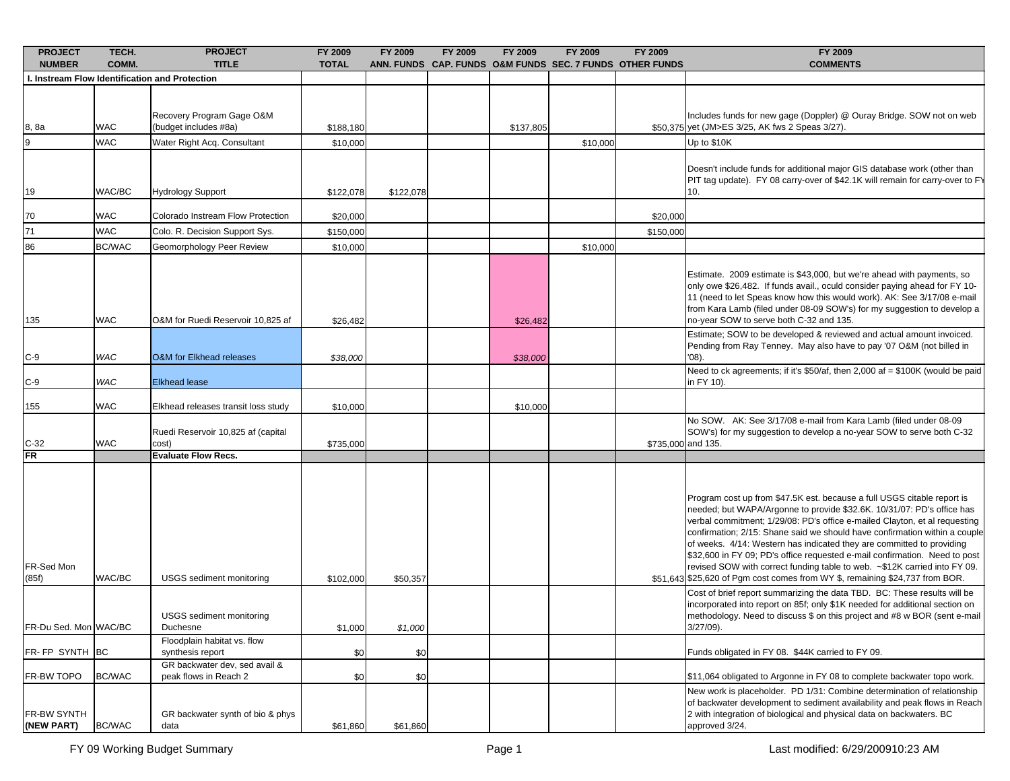| <b>PROJECT</b><br><b>NUMBER</b> | TECH.<br>COMM. | <b>PROJECT</b><br><b>TITLE</b>                         | FY 2009<br><b>TOTAL</b> | FY 2009   | FY 2009 | FY 2009   | FY 2009  | FY 2009<br>ANN. FUNDS CAP. FUNDS O&M FUNDS SEC. 7 FUNDS OTHER FUNDS | FY 2009<br><b>COMMENTS</b>                                                                                                                                                                                                                                                                                                                                                                                                                                                                                                                                                                                                        |
|---------------------------------|----------------|--------------------------------------------------------|-------------------------|-----------|---------|-----------|----------|---------------------------------------------------------------------|-----------------------------------------------------------------------------------------------------------------------------------------------------------------------------------------------------------------------------------------------------------------------------------------------------------------------------------------------------------------------------------------------------------------------------------------------------------------------------------------------------------------------------------------------------------------------------------------------------------------------------------|
|                                 |                | Instream Flow Identification and Protection            |                         |           |         |           |          |                                                                     |                                                                                                                                                                                                                                                                                                                                                                                                                                                                                                                                                                                                                                   |
| 8, 8a                           | <b>WAC</b>     | Recovery Program Gage O&M<br>(budget includes #8a)     | \$188,180               |           |         | \$137,805 |          |                                                                     | Includes funds for new gage (Doppler) @ Ouray Bridge. SOW not on web<br>\$50,375 yet (JM>ES 3/25, AK fws 2 Speas 3/27).                                                                                                                                                                                                                                                                                                                                                                                                                                                                                                           |
| 9                               | <b>WAC</b>     | Water Right Acq. Consultant                            | \$10,000                |           |         |           | \$10,000 |                                                                     | Up to \$10K                                                                                                                                                                                                                                                                                                                                                                                                                                                                                                                                                                                                                       |
| 19                              | WAC/BC         | <b>Hydrology Support</b>                               | \$122,078               | \$122,078 |         |           |          |                                                                     | Doesn't include funds for additional major GIS database work (other than<br>PIT tag update). FY 08 carry-over of \$42.1K will remain for carry-over to FY<br>10.                                                                                                                                                                                                                                                                                                                                                                                                                                                                  |
| 70                              | <b>WAC</b>     | Colorado Instream Flow Protection                      | \$20,000                |           |         |           |          | \$20,000                                                            |                                                                                                                                                                                                                                                                                                                                                                                                                                                                                                                                                                                                                                   |
| $\overline{71}$                 | <b>WAC</b>     | Colo. R. Decision Support Sys.                         | \$150,000               |           |         |           |          | \$150,000                                                           |                                                                                                                                                                                                                                                                                                                                                                                                                                                                                                                                                                                                                                   |
| 86                              | <b>BC/WAC</b>  | Geomorphology Peer Review                              | \$10,000                |           |         |           | \$10,000 |                                                                     |                                                                                                                                                                                                                                                                                                                                                                                                                                                                                                                                                                                                                                   |
| 135                             | <b>WAC</b>     | O&M for Ruedi Reservoir 10,825 af                      | \$26,482                |           |         | \$26,482  |          |                                                                     | Estimate. 2009 estimate is \$43,000, but we're ahead with payments, so<br>only owe \$26,482. If funds avail., oculd consider paying ahead for FY 10-<br>11 (need to let Speas know how this would work). AK: See 3/17/08 e-mail<br>from Kara Lamb (filed under 08-09 SOW's) for my suggestion to develop a<br>no-year SOW to serve both C-32 and 135.                                                                                                                                                                                                                                                                             |
| $C-9$                           | WAC            | <b>O&amp;M</b> for Elkhead releases                    | \$38,000                |           |         | \$38,000  |          |                                                                     | Estimate; SOW to be developed & reviewed and actual amount invoiced.<br>Pending from Ray Tenney. May also have to pay '07 O&M (not billed in<br>$'08$ ).                                                                                                                                                                                                                                                                                                                                                                                                                                                                          |
| $C-9$                           | WAC            | <b>Elkhead lease</b>                                   |                         |           |         |           |          |                                                                     | Need to ck agreements; if it's \$50/af, then 2,000 af = \$100K (would be paid<br>in FY 10).                                                                                                                                                                                                                                                                                                                                                                                                                                                                                                                                       |
| 155                             | WAC            | Elkhead releases transit loss study                    | \$10,000                |           |         | \$10,000  |          |                                                                     |                                                                                                                                                                                                                                                                                                                                                                                                                                                                                                                                                                                                                                   |
| $C-32$                          | <b>WAC</b>     | Ruedi Reservoir 10,825 af (capital<br>cost)            | \$735,000               |           |         |           |          | \$735,000 and 135.                                                  | No SOW. AK: See 3/17/08 e-mail from Kara Lamb (filed under 08-09<br>SOW's) for my suggestion to develop a no-year SOW to serve both C-32                                                                                                                                                                                                                                                                                                                                                                                                                                                                                          |
| <b>FR</b>                       |                | <b>Evaluate Flow Recs.</b>                             |                         |           |         |           |          |                                                                     |                                                                                                                                                                                                                                                                                                                                                                                                                                                                                                                                                                                                                                   |
| FR-Sed Mon<br>(85f)             | WAC/BC         | USGS sediment monitoring                               | \$102,000               | \$50,357  |         |           |          |                                                                     | Program cost up from \$47.5K est. because a full USGS citable report is<br>needed; but WAPA/Argonne to provide \$32.6K. 10/31/07: PD's office has<br>verbal commitment; 1/29/08: PD's office e-mailed Clayton, et al requesting<br>confirmation; 2/15: Shane said we should have confirmation within a couple<br>of weeks. 4/14: Western has indicated they are committed to providing<br>\$32,600 in FY 09; PD's office requested e-mail confirmation. Need to post<br>revised SOW with correct funding table to web. ~\$12K carried into FY 09.<br>\$51,643 \$25,620 of Pgm cost comes from WY \$, remaining \$24,737 from BOR. |
| FR-Du Sed. Mon WAC/BC           |                | USGS sediment monitoring<br>Duchesne                   | \$1,000                 | \$1,000   |         |           |          |                                                                     | Cost of brief report summarizing the data TBD. BC: These results will be<br>incorporated into report on 85f; only \$1K needed for additional section on<br>methodology. Need to discuss \$ on this project and #8 w BOR (sent e-mail<br>$3/27/09$ ).                                                                                                                                                                                                                                                                                                                                                                              |
| FR-FP SYNTH BC                  |                | Floodplain habitat vs. flow<br>synthesis report        | \$0                     | \$0       |         |           |          |                                                                     | Funds obligated in FY 08. \$44K carried to FY 09.                                                                                                                                                                                                                                                                                                                                                                                                                                                                                                                                                                                 |
| FR-BW TOPO                      | <b>BC/WAC</b>  | GR backwater dev, sed avail &<br>peak flows in Reach 2 | \$0                     | \$0       |         |           |          |                                                                     | \$11,064 obligated to Argonne in FY 08 to complete backwater topo work.                                                                                                                                                                                                                                                                                                                                                                                                                                                                                                                                                           |
| FR-BW SYNTH<br>(NEW PART)       | <b>BC/WAC</b>  | GR backwater synth of bio & phys<br>data               | \$61,860                | \$61,860  |         |           |          |                                                                     | New work is placeholder. PD 1/31: Combine determination of relationship<br>of backwater development to sediment availability and peak flows in Reach<br>2 with integration of biological and physical data on backwaters. BC<br>approved 3/24.                                                                                                                                                                                                                                                                                                                                                                                    |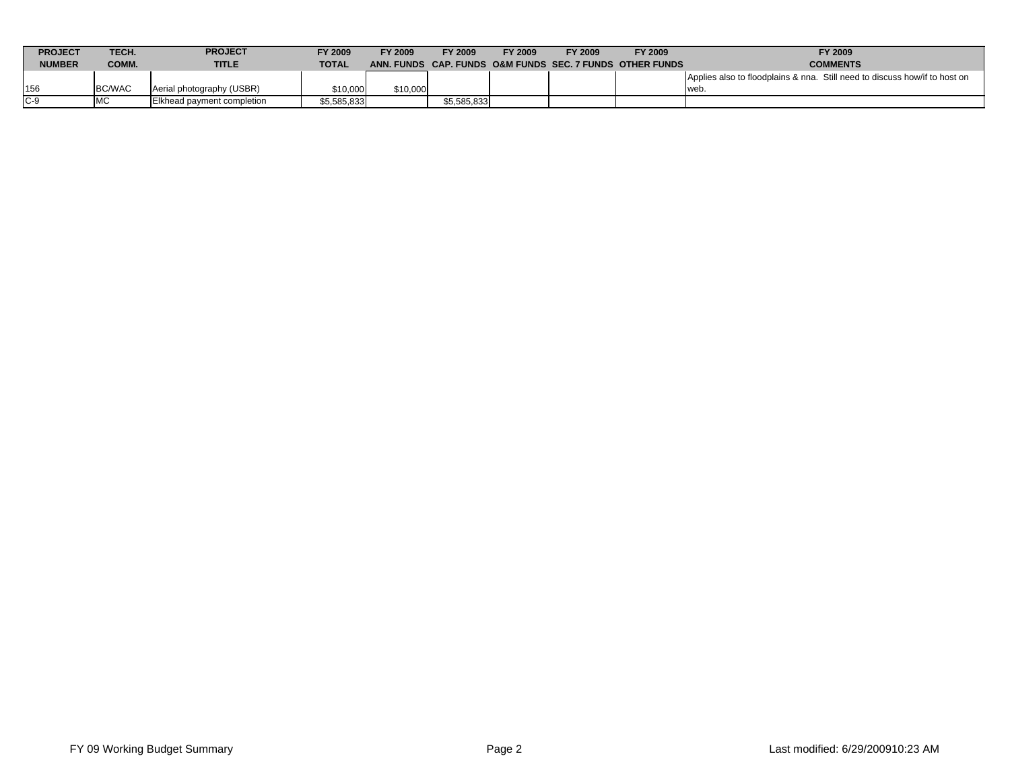| <b>PROJECT</b> | TECH.         | <b>PROJECT</b>             | FY 2009      | <b>FY 2009</b> | FY 2009     | <b>FY 2009</b> | FY 2009 | FY 2009                                                  | FY 2009                                                                    |
|----------------|---------------|----------------------------|--------------|----------------|-------------|----------------|---------|----------------------------------------------------------|----------------------------------------------------------------------------|
| <b>NUMBER</b>  | COMM.         | <b>TITLE</b>               | <b>TOTAL</b> |                |             |                |         | ANN. FUNDS CAP. FUNDS O&M FUNDS SEC. 7 FUNDS OTHER FUNDS | <b>COMMENTS</b>                                                            |
|                |               |                            |              |                |             |                |         |                                                          | Applies also to floodplains & nna. Still need to discuss how/if to host on |
| 156            | <b>BC/WAC</b> | Aerial photography (USBR)  | \$10,000     | \$10,000       |             |                |         |                                                          | wet                                                                        |
| $IC-9$         | <b>A</b> 40   | Elkhead payment completion | \$5,585,833  |                | \$5,585,833 |                |         |                                                          |                                                                            |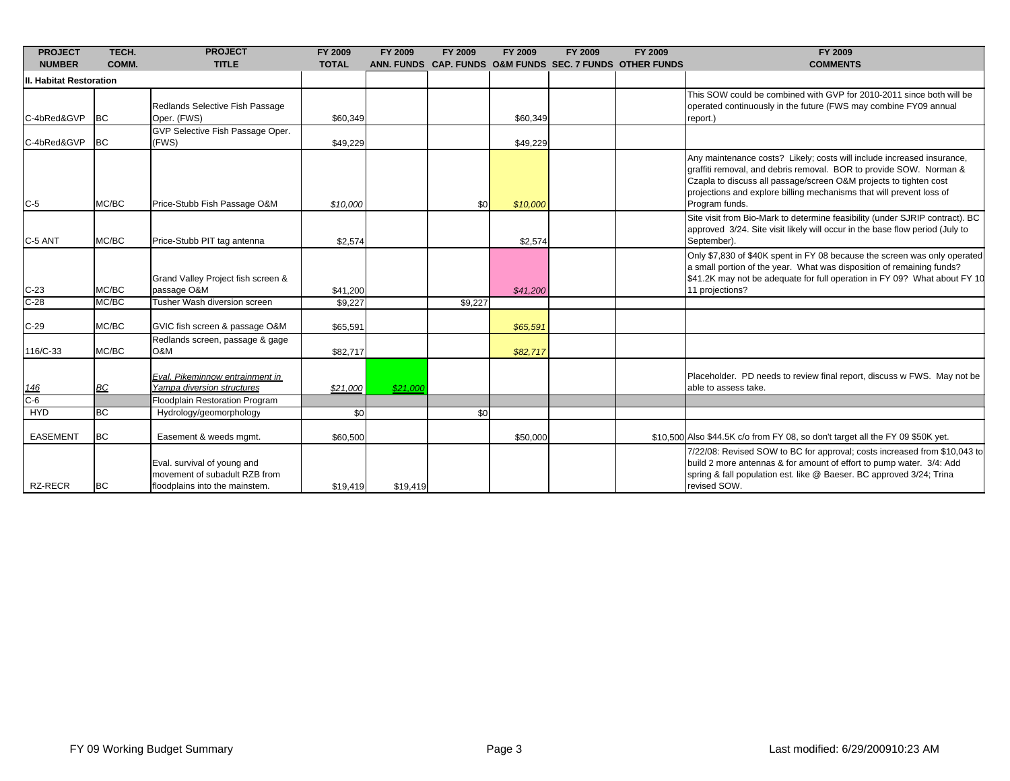| <b>PROJECT</b>          | TECH.     | <b>PROJECT</b>                                                                                 | <b>FY 2009</b> | <b>FY 2009</b> | FY 2009 | <b>FY 2009</b> | <b>FY 2009</b> | FY 2009                                                  | <b>FY 2009</b>                                                                                                                                                                                                                                                                                              |
|-------------------------|-----------|------------------------------------------------------------------------------------------------|----------------|----------------|---------|----------------|----------------|----------------------------------------------------------|-------------------------------------------------------------------------------------------------------------------------------------------------------------------------------------------------------------------------------------------------------------------------------------------------------------|
| <b>NUMBER</b>           | COMM.     | <b>TITLE</b>                                                                                   | <b>TOTAL</b>   |                |         |                |                | ANN. FUNDS CAP. FUNDS O&M FUNDS SEC. 7 FUNDS OTHER FUNDS | <b>COMMENTS</b>                                                                                                                                                                                                                                                                                             |
| II. Habitat Restoration |           |                                                                                                |                |                |         |                |                |                                                          |                                                                                                                                                                                                                                                                                                             |
| C-4bRed&GVP             | <b>BC</b> | Redlands Selective Fish Passage<br>Oper. (FWS)                                                 | \$60,349       |                |         | \$60,349       |                |                                                          | This SOW could be combined with GVP for 2010-2011 since both will be<br>operated continuously in the future (FWS may combine FY09 annual<br>report.)                                                                                                                                                        |
| C-4bRed&GVP             | <b>BC</b> | GVP Selective Fish Passage Oper.<br>(FWS)                                                      | \$49,229       |                |         | \$49,229       |                |                                                          |                                                                                                                                                                                                                                                                                                             |
| $C-5$                   | MC/BC     | Price-Stubb Fish Passage O&M                                                                   | \$10,000       |                | \$0     | \$10,000       |                |                                                          | Any maintenance costs? Likely; costs will include increased insurance,<br>graffiti removal, and debris removal. BOR to provide SOW. Norman &<br>Czapla to discuss all passage/screen O&M projects to tighten cost<br>projections and explore billing mechanisms that will prevent loss of<br>Program funds. |
| C-5 ANT                 | MC/BC     | Price-Stubb PIT tag antenna                                                                    | \$2,574        |                |         | \$2,574        |                |                                                          | Site visit from Bio-Mark to determine feasibility (under SJRIP contract). BC<br>approved 3/24. Site visit likely will occur in the base flow period (July to<br>September).                                                                                                                                 |
| $C-23$                  | MC/BC     | Grand Valley Project fish screen &<br>passage O&M                                              | \$41,200       |                |         | \$41,200       |                |                                                          | Only \$7,830 of \$40K spent in FY 08 because the screen was only operated<br>a small portion of the year. What was disposition of remaining funds?<br>\$41.2K may not be adequate for full operation in FY 09? What about FY 10<br>11 projections?                                                          |
| $C-28$                  | MC/BC     | Tusher Wash diversion screen                                                                   | \$9,227        |                | \$9.227 |                |                |                                                          |                                                                                                                                                                                                                                                                                                             |
| $C-29$                  | MC/BC     | GVIC fish screen & passage O&M                                                                 | \$65,591       |                |         | \$65,591       |                |                                                          |                                                                                                                                                                                                                                                                                                             |
| 116/C-33                | MC/BC     | Redlands screen, passage & gage<br>O&M                                                         | \$82,717       |                |         | \$82,717       |                |                                                          |                                                                                                                                                                                                                                                                                                             |
| $\frac{146}{C-6}$       | <b>BC</b> | Eval. Pikeminnow entrainment in<br>Yampa diversion structures                                  | \$21,000       | \$21.000       |         |                |                |                                                          | Placeholder. PD needs to review final report, discuss w FWS. May not be<br>able to assess take.                                                                                                                                                                                                             |
|                         |           | Floodplain Restoration Program                                                                 |                |                |         |                |                |                                                          |                                                                                                                                                                                                                                                                                                             |
| <b>HYD</b>              | <b>BC</b> | Hydrology/geomorphology                                                                        | \$0            |                | \$0     |                |                |                                                          |                                                                                                                                                                                                                                                                                                             |
| <b>EASEMENT</b>         | <b>BC</b> | Easement & weeds mgmt.                                                                         | \$60,500       |                |         | \$50,000       |                |                                                          | \$10,500 Also \$44.5K c/o from FY 08, so don't target all the FY 09 \$50K yet.                                                                                                                                                                                                                              |
| <b>RZ-RECR</b>          | <b>BC</b> | Eval. survival of young and<br>movement of subadult RZB from<br>floodplains into the mainstem. | \$19,419       | \$19,419       |         |                |                |                                                          | 7/22/08: Revised SOW to BC for approval; costs increased from \$10,043 to<br>build 2 more antennas & for amount of effort to pump water. 3/4: Add<br>spring & fall population est. like @ Baeser. BC approved 3/24; Trina<br>revised SOW.                                                                   |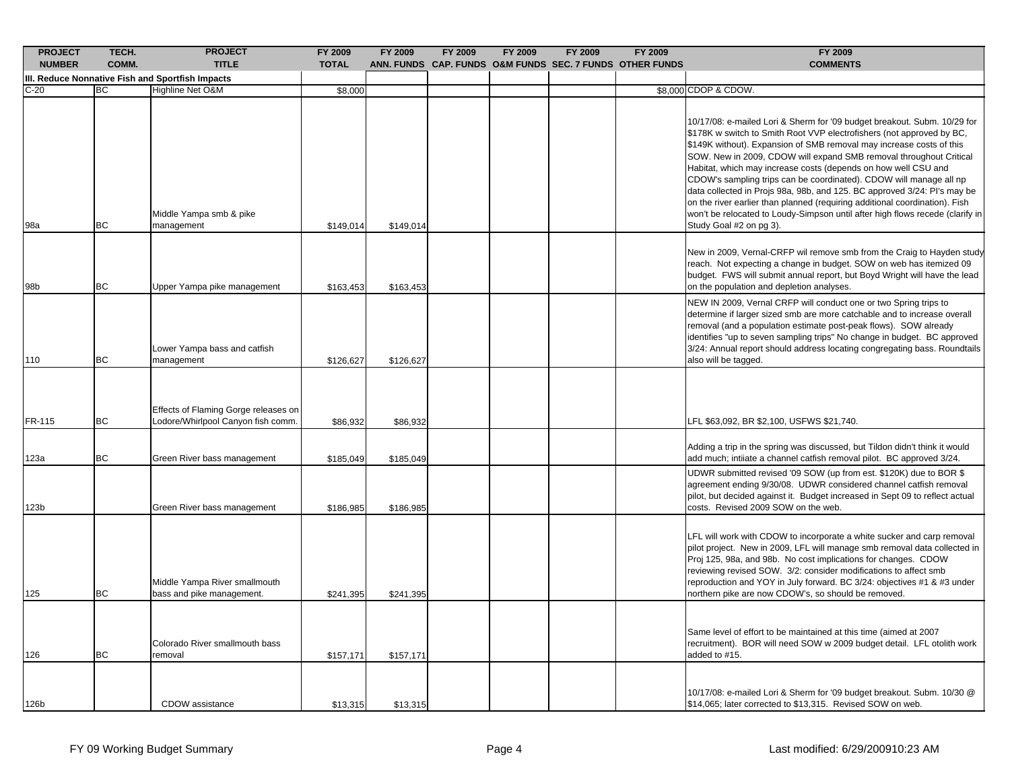| <b>PROJECT</b> | TECH.     | <b>PROJECT</b>                                                             | FY 2009      | FY 2009   | FY 2009 | FY 2009 | FY 2009 | FY 2009                                                  | FY 2009                                                                                                                                                                                                                                                                                                                                                                                                                                                                                                                                                                                                                                                                                                        |
|----------------|-----------|----------------------------------------------------------------------------|--------------|-----------|---------|---------|---------|----------------------------------------------------------|----------------------------------------------------------------------------------------------------------------------------------------------------------------------------------------------------------------------------------------------------------------------------------------------------------------------------------------------------------------------------------------------------------------------------------------------------------------------------------------------------------------------------------------------------------------------------------------------------------------------------------------------------------------------------------------------------------------|
| <b>NUMBER</b>  | COMM.     | <b>TITLE</b>                                                               | <b>TOTAL</b> |           |         |         |         | ANN. FUNDS CAP. FUNDS O&M FUNDS SEC. 7 FUNDS OTHER FUNDS | <b>COMMENTS</b>                                                                                                                                                                                                                                                                                                                                                                                                                                                                                                                                                                                                                                                                                                |
|                |           | III. Reduce Nonnative Fish and Sportfish Impacts                           |              |           |         |         |         |                                                          |                                                                                                                                                                                                                                                                                                                                                                                                                                                                                                                                                                                                                                                                                                                |
| $C-20$         | BC        | Highline Net O&M                                                           | \$8,000      |           |         |         |         |                                                          | \$8,000 CDOP & CDOW.                                                                                                                                                                                                                                                                                                                                                                                                                                                                                                                                                                                                                                                                                           |
| 98a            | BC        | Middle Yampa smb & pike<br>management                                      | \$149,014    | \$149,014 |         |         |         |                                                          | 10/17/08: e-mailed Lori & Sherm for '09 budget breakout. Subm. 10/29 for<br>\$178K w switch to Smith Root VVP electrofishers (not approved by BC,<br>\$149K without). Expansion of SMB removal may increase costs of this<br>SOW. New in 2009, CDOW will expand SMB removal throughout Critical<br>Habitat, which may increase costs (depends on how well CSU and<br>CDOW's sampling trips can be coordinated). CDOW will manage all np<br>data collected in Projs 98a, 98b, and 125. BC approved 3/24: Pl's may be<br>on the river earlier than planned (requiring additional coordination). Fish<br>won't be relocated to Loudy-Simpson until after high flows recede (clarify in<br>Study Goal #2 on pg 3). |
| 98b            | BC        | Upper Yampa pike management                                                | \$163,453    | \$163,453 |         |         |         |                                                          | New in 2009, Vernal-CRFP wil remove smb from the Craig to Hayden study<br>reach. Not expecting a change in budget. SOW on web has itemized 09<br>budget. FWS will submit annual report, but Boyd Wright will have the lead<br>on the population and depletion analyses.                                                                                                                                                                                                                                                                                                                                                                                                                                        |
| 110            | <b>BC</b> | Lower Yampa bass and catfish<br>management                                 | \$126,627    | \$126,627 |         |         |         |                                                          | NEW IN 2009, Vernal CRFP will conduct one or two Spring trips to<br>determine if larger sized smb are more catchable and to increase overall<br>removal (and a population estimate post-peak flows). SOW already<br>identifies "up to seven sampling trips" No change in budget. BC approved<br>3/24: Annual report should address locating congregating bass. Roundtails<br>also will be tagged.                                                                                                                                                                                                                                                                                                              |
| FR-115         | <b>BC</b> | Effects of Flaming Gorge releases on<br>Lodore/Whirlpool Canyon fish comm. | \$86,932     | \$86,932  |         |         |         |                                                          | LFL \$63,092, BR \$2,100, USFWS \$21,740.                                                                                                                                                                                                                                                                                                                                                                                                                                                                                                                                                                                                                                                                      |
| 123a           | <b>BC</b> | Green River bass management                                                | \$185,049    | \$185,049 |         |         |         |                                                          | Adding a trip in the spring was discussed, but Tildon didn't think it would<br>add much; intiiate a channel catfish removal pilot. BC approved 3/24.                                                                                                                                                                                                                                                                                                                                                                                                                                                                                                                                                           |
| 123b           |           | Green River bass management                                                | \$186,985    | \$186,985 |         |         |         |                                                          | UDWR submitted revised '09 SOW (up from est. \$120K) due to BOR \$<br>agreement ending 9/30/08. UDWR considered channel catfish removal<br>pilot, but decided against it. Budget increased in Sept 09 to reflect actual<br>costs. Revised 2009 SOW on the web.                                                                                                                                                                                                                                                                                                                                                                                                                                                 |
| 125            | <b>BC</b> | Middle Yampa River smallmouth<br>bass and pike management.                 | \$241,395    | \$241,395 |         |         |         |                                                          | LFL will work with CDOW to incorporate a white sucker and carp removal<br>pilot project. New in 2009, LFL will manage smb removal data collected in<br>Proj 125, 98a, and 98b. No cost implications for changes. CDOW<br>reviewing revised SOW. 3/2: consider modifications to affect smb<br>reproduction and YOY in July forward. BC 3/24: objectives #1 & #3 under<br>northern pike are now CDOW's, so should be removed.                                                                                                                                                                                                                                                                                    |
| 126            | <b>BC</b> | Colorado River smallmouth bass<br>removal                                  | \$157,171    | \$157,171 |         |         |         |                                                          | Same level of effort to be maintained at this time (aimed at 2007<br>recruitment). BOR will need SOW w 2009 budget detail. LFL otolith work<br>added to #15.                                                                                                                                                                                                                                                                                                                                                                                                                                                                                                                                                   |
| 126b           |           | CDOW assistance                                                            | \$13,315     | \$13,315  |         |         |         |                                                          | 10/17/08: e-mailed Lori & Sherm for '09 budget breakout. Subm. 10/30 @<br>\$14,065; later corrected to \$13,315. Revised SOW on web.                                                                                                                                                                                                                                                                                                                                                                                                                                                                                                                                                                           |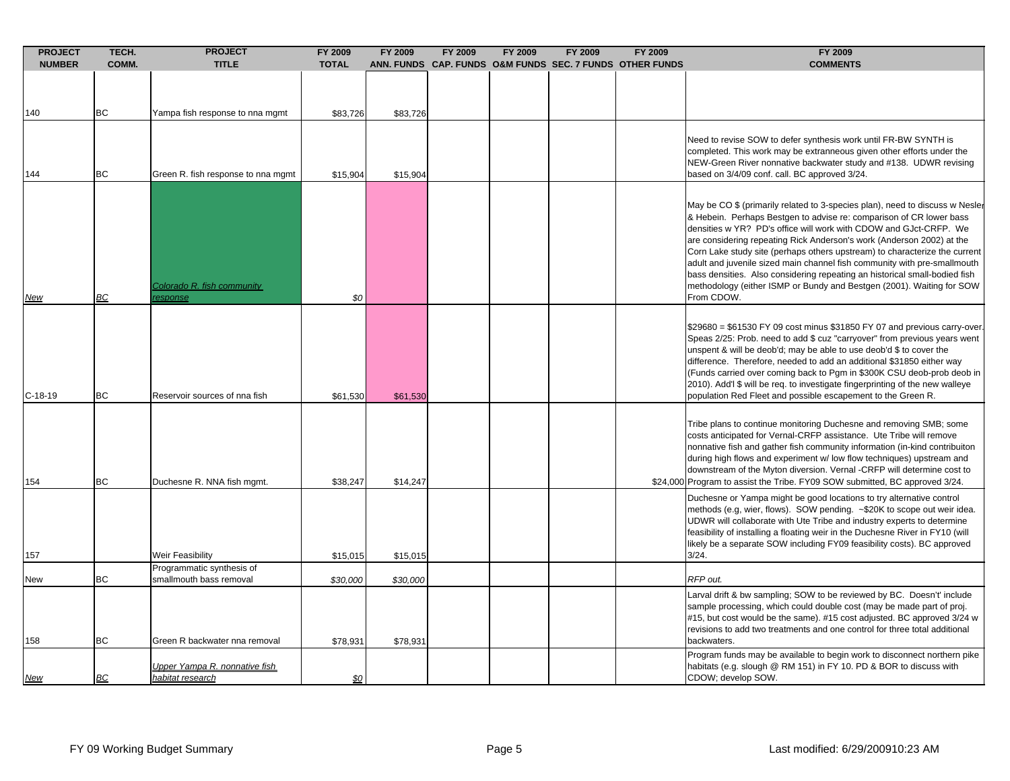| <b>PROJECT</b> | TECH.     | <b>PROJECT</b><br><b>TITLE</b>                       | FY 2009      | FY 2009  | FY 2009 | FY 2009 | FY 2009 | FY 2009                                                  | FY 2009<br><b>COMMENTS</b>                                                                                                                                                                                                                                                                                                                                                                                                                                                                                                                                                                                                       |
|----------------|-----------|------------------------------------------------------|--------------|----------|---------|---------|---------|----------------------------------------------------------|----------------------------------------------------------------------------------------------------------------------------------------------------------------------------------------------------------------------------------------------------------------------------------------------------------------------------------------------------------------------------------------------------------------------------------------------------------------------------------------------------------------------------------------------------------------------------------------------------------------------------------|
| <b>NUMBER</b>  | COMM.     |                                                      | <b>TOTAL</b> |          |         |         |         | ANN. FUNDS CAP. FUNDS O&M FUNDS SEC. 7 FUNDS OTHER FUNDS |                                                                                                                                                                                                                                                                                                                                                                                                                                                                                                                                                                                                                                  |
|                |           |                                                      |              |          |         |         |         |                                                          |                                                                                                                                                                                                                                                                                                                                                                                                                                                                                                                                                                                                                                  |
| 140            | ВC        | Yampa fish response to nna mgmt                      | \$83,726     | \$83,726 |         |         |         |                                                          |                                                                                                                                                                                                                                                                                                                                                                                                                                                                                                                                                                                                                                  |
|                | <b>BC</b> |                                                      |              |          |         |         |         |                                                          | Need to revise SOW to defer synthesis work until FR-BW SYNTH is<br>completed. This work may be extranneous given other efforts under the<br>NEW-Green River nonnative backwater study and #138. UDWR revising                                                                                                                                                                                                                                                                                                                                                                                                                    |
| 144            |           | Green R. fish response to nna mgmt                   | \$15,904     | \$15,904 |         |         |         |                                                          | based on 3/4/09 conf. call. BC approved 3/24.                                                                                                                                                                                                                                                                                                                                                                                                                                                                                                                                                                                    |
| <u>New</u>     | <u>вс</u> | Colorado R. fish community<br>esponse                | \$0          |          |         |         |         |                                                          | May be CO \$ (primarily related to 3-species plan), need to discuss w Nesler<br>& Hebein. Perhaps Bestgen to advise re: comparison of CR lower bass<br>densities w YR? PD's office will work with CDOW and GJct-CRFP. We<br>are considering repeating Rick Anderson's work (Anderson 2002) at the<br>Corn Lake study site (perhaps others upstream) to characterize the current<br>adult and juvenile sized main channel fish community with pre-smallmouth<br>bass densities. Also considering repeating an historical small-bodied fish<br>methodology (either ISMP or Bundy and Bestgen (2001). Waiting for SOW<br>From CDOW. |
| $C-18-19$      | ВC        | Reservoir sources of nna fish                        | \$61,530     | \$61,530 |         |         |         |                                                          | \$29680 = \$61530 FY 09 cost minus \$31850 FY 07 and previous carry-over.<br>Speas 2/25: Prob. need to add \$ cuz "carryover" from previous years went<br>unspent & will be deob'd; may be able to use deob'd \$ to cover the<br>difference. Therefore, needed to add an additional \$31850 either way<br>(Funds carried over coming back to Pgm in \$300K CSU deob-prob deob in<br>2010). Add'l \$ will be req. to investigate fingerprinting of the new walleye<br>population Red Fleet and possible escapement to the Green R.                                                                                                |
| 154            | <b>BC</b> | Duchesne R. NNA fish mgmt.                           | \$38,247     | \$14,247 |         |         |         |                                                          | Tribe plans to continue monitoring Duchesne and removing SMB; some<br>costs anticipated for Vernal-CRFP assistance. Ute Tribe will remove<br>nonnative fish and gather fish community information (in-kind contribuiton<br>during high flows and experiment w/ low flow techniques) upstream and<br>downstream of the Myton diversion. Vernal -CRFP will determine cost to<br>\$24,000 Program to assist the Tribe. FY09 SOW submitted, BC approved 3/24.                                                                                                                                                                        |
| 157            |           | <b>Weir Feasibility</b>                              | \$15,015     | \$15,015 |         |         |         |                                                          | Duchesne or Yampa might be good locations to try alternative control<br>methods (e.g, wier, flows). SOW pending. ~ \$20K to scope out weir idea.<br>UDWR will collaborate with Ute Tribe and industry experts to determine<br>feasibility of installing a floating weir in the Duchesne River in FY10 (will<br>likely be a separate SOW including FY09 feasibility costs). BC approved<br>3/24.                                                                                                                                                                                                                                  |
| New            | ВC        | Programmatic synthesis of<br>smallmouth bass removal | \$30,000     | \$30,000 |         |         |         |                                                          | RFP out.                                                                                                                                                                                                                                                                                                                                                                                                                                                                                                                                                                                                                         |
| 158            | ВC        | Green R backwater nna removal                        | \$78,931     | \$78,931 |         |         |         |                                                          | Larval drift & bw sampling; SOW to be reviewed by BC. Doesn't' include<br>sample processing, which could double cost (may be made part of proj.<br>#15, but cost would be the same). #15 cost adjusted. BC approved 3/24 w<br>revisions to add two treatments and one control for three total additional<br>backwaters.                                                                                                                                                                                                                                                                                                          |
| <u>New</u>     | <u>ВС</u> | Upper Yampa R. nonnative fish<br>habitat research    | \$0          |          |         |         |         |                                                          | Program funds may be available to begin work to disconnect northern pike<br>habitats (e.g. slough @ RM 151) in FY 10. PD & BOR to discuss with<br>CDOW; develop SOW.                                                                                                                                                                                                                                                                                                                                                                                                                                                             |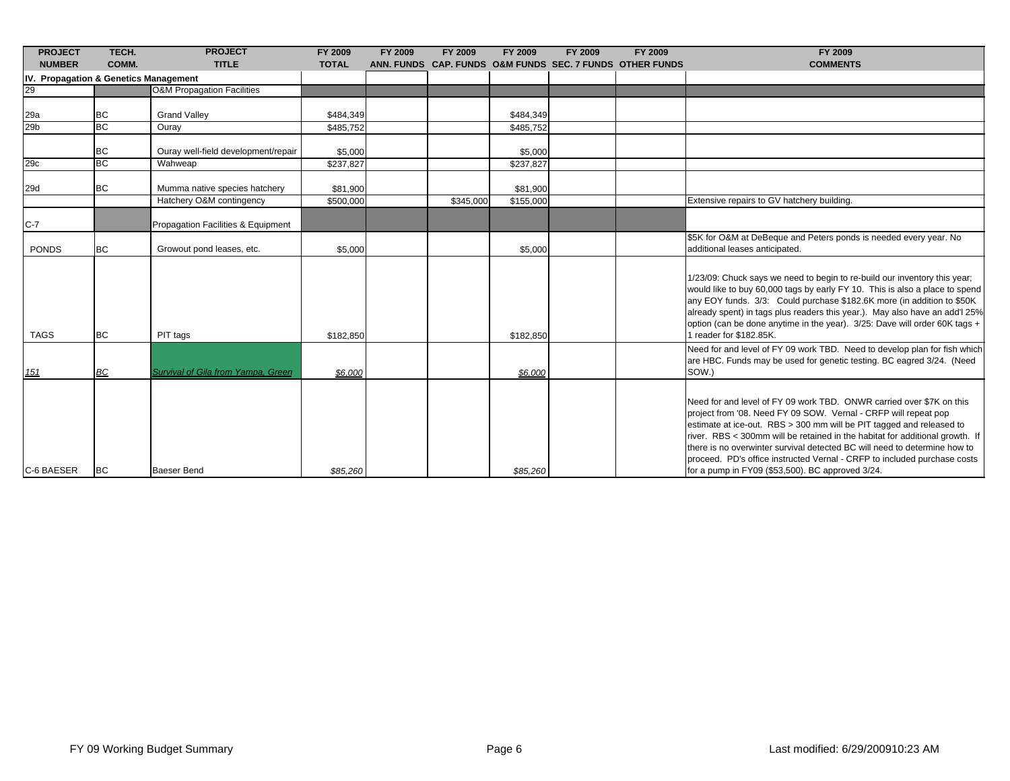| <b>PROJECT</b>                        | TECH.     | <b>PROJECT</b>                        | FY 2009      | FY 2009 | FY 2009   | FY 2009   | FY 2009 | FY 2009                                                  | <b>FY 2009</b>                                                                                                                                                                                                                                                                                                                                                                                                                                                                                               |
|---------------------------------------|-----------|---------------------------------------|--------------|---------|-----------|-----------|---------|----------------------------------------------------------|--------------------------------------------------------------------------------------------------------------------------------------------------------------------------------------------------------------------------------------------------------------------------------------------------------------------------------------------------------------------------------------------------------------------------------------------------------------------------------------------------------------|
| <b>NUMBER</b>                         | COMM.     | <b>TITLE</b>                          | <b>TOTAL</b> |         |           |           |         | ANN. FUNDS CAP. FUNDS O&M FUNDS SEC. 7 FUNDS OTHER FUNDS | <b>COMMENTS</b>                                                                                                                                                                                                                                                                                                                                                                                                                                                                                              |
| IV. Propagation & Genetics Management |           |                                       |              |         |           |           |         |                                                          |                                                                                                                                                                                                                                                                                                                                                                                                                                                                                                              |
| 29                                    |           | <b>O&amp;M Propagation Facilities</b> |              |         |           |           |         |                                                          |                                                                                                                                                                                                                                                                                                                                                                                                                                                                                                              |
| 29a                                   | BC        | <b>Grand Valley</b>                   | \$484,349    |         |           | \$484,349 |         |                                                          |                                                                                                                                                                                                                                                                                                                                                                                                                                                                                                              |
| 29 <sub>b</sub>                       | <b>BC</b> | Ouray                                 | \$485,752    |         |           | \$485,752 |         |                                                          |                                                                                                                                                                                                                                                                                                                                                                                                                                                                                                              |
|                                       | <b>BC</b> | Ouray well-field development/repair   | \$5,000      |         |           | \$5,000   |         |                                                          |                                                                                                                                                                                                                                                                                                                                                                                                                                                                                                              |
| 29c                                   | <b>BC</b> | Wahweap                               | \$237,827    |         |           | \$237,827 |         |                                                          |                                                                                                                                                                                                                                                                                                                                                                                                                                                                                                              |
| 29d                                   | <b>BC</b> | Mumma native species hatchery         | \$81,900     |         |           | \$81,900  |         |                                                          |                                                                                                                                                                                                                                                                                                                                                                                                                                                                                                              |
|                                       |           | Hatchery O&M contingency              | \$500,000    |         | \$345,000 | \$155,000 |         |                                                          | Extensive repairs to GV hatchery building.                                                                                                                                                                                                                                                                                                                                                                                                                                                                   |
| $C-7$                                 |           | Propagation Facilities & Equipment    |              |         |           |           |         |                                                          |                                                                                                                                                                                                                                                                                                                                                                                                                                                                                                              |
| <b>PONDS</b>                          | BC        | Growout pond leases, etc.             | \$5,000      |         |           | \$5,000   |         |                                                          | \$5K for O&M at DeBeque and Peters ponds is needed every year. No<br>additional leases anticipated.                                                                                                                                                                                                                                                                                                                                                                                                          |
| <b>TAGS</b>                           | <b>BC</b> | PIT tags                              | \$182,850    |         |           | \$182,850 |         |                                                          | 1/23/09: Chuck says we need to begin to re-build our inventory this year;<br>would like to buy 60,000 tags by early FY 10. This is also a place to spend<br>any EOY funds. 3/3: Could purchase \$182.6K more (in addition to \$50K)<br>already spent) in tags plus readers this year.). May also have an add'l 25%<br>option (can be done anytime in the year). 3/25: Dave will order 60K tags +<br>1 reader for \$182.85K.                                                                                  |
| 151                                   | <b>BC</b> | Survival of Gila from Yampa, Green    | \$6,000      |         |           | \$6,000   |         |                                                          | Need for and level of FY 09 work TBD. Need to develop plan for fish which<br>are HBC. Funds may be used for genetic testing. BC eagred 3/24. (Need<br>SOW.)                                                                                                                                                                                                                                                                                                                                                  |
| C-6 BAESER                            | <b>BC</b> | <b>Baeser Bend</b>                    | \$85,260     |         |           | \$85,260  |         |                                                          | Need for and level of FY 09 work TBD. ONWR carried over \$7K on this<br>project from '08. Need FY 09 SOW. Vernal - CRFP will repeat pop<br>estimate at ice-out. RBS > 300 mm will be PIT tagged and released to<br>river. RBS < 300mm will be retained in the habitat for additional growth. If<br>there is no overwinter survival detected BC will need to determine how to<br>proceed. PD's office instructed Vernal - CRFP to included purchase costs<br>for a pump in FY09 (\$53,500). BC approved 3/24. |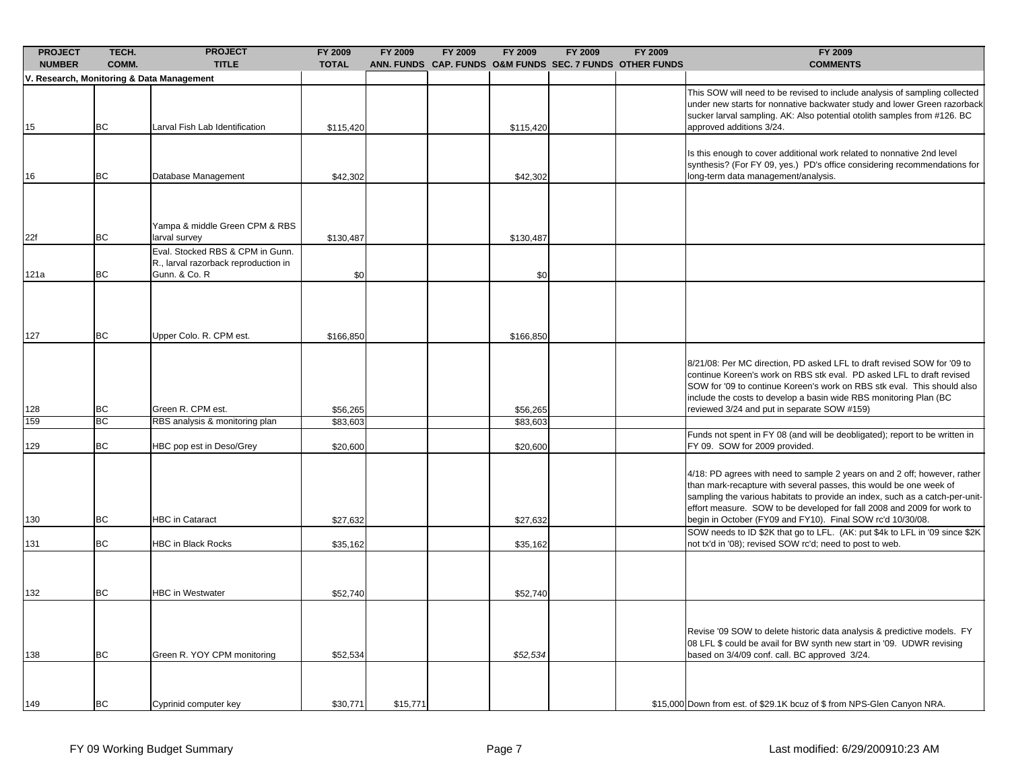| <b>PROJECT</b><br><b>NUMBER</b>           | TECH.<br>COMM. | <b>PROJECT</b><br><b>TITLE</b>                                                            | <b>FY 2009</b><br><b>TOTAL</b> | FY 2009  | FY 2009 | FY 2009   | <b>FY 2009</b> | FY 2009<br>ANN. FUNDS CAP. FUNDS O&M FUNDS SEC. 7 FUNDS OTHER FUNDS | FY 2009<br><b>COMMENTS</b>                                                                                                                                                                                                                                                                                                                                              |
|-------------------------------------------|----------------|-------------------------------------------------------------------------------------------|--------------------------------|----------|---------|-----------|----------------|---------------------------------------------------------------------|-------------------------------------------------------------------------------------------------------------------------------------------------------------------------------------------------------------------------------------------------------------------------------------------------------------------------------------------------------------------------|
| V. Research, Monitoring & Data Management |                |                                                                                           |                                |          |         |           |                |                                                                     |                                                                                                                                                                                                                                                                                                                                                                         |
| 15                                        | <b>BC</b>      | Larval Fish Lab Identification                                                            | \$115,420                      |          |         | \$115,420 |                |                                                                     | This SOW will need to be revised to include analysis of sampling collected<br>under new starts for nonnative backwater study and lower Green razorback<br>sucker larval sampling. AK: Also potential otolith samples from #126. BC<br>approved additions 3/24.                                                                                                          |
| 16                                        | <b>BC</b>      | Database Management                                                                       | \$42,302                       |          |         | \$42,302  |                |                                                                     | Is this enough to cover additional work related to nonnative 2nd level<br>synthesis? (For FY 09, yes.) PD's office considering recommendations for<br>long-term data management/analysis.                                                                                                                                                                               |
| 22f                                       | <b>BC</b>      | Yampa & middle Green CPM & RBS<br>larval survey                                           | \$130,487                      |          |         | \$130,487 |                |                                                                     |                                                                                                                                                                                                                                                                                                                                                                         |
| 121a                                      | <b>BC</b>      | Eval. Stocked RBS & CPM in Gunn.<br>R., larval razorback reproduction in<br>Gunn. & Co. R | \$0                            |          |         | \$0       |                |                                                                     |                                                                                                                                                                                                                                                                                                                                                                         |
| 127                                       | <b>BC</b>      | Upper Colo. R. CPM est.                                                                   | \$166,850                      |          |         | \$166,850 |                |                                                                     |                                                                                                                                                                                                                                                                                                                                                                         |
| 128                                       | BC             | Green R. CPM est.                                                                         | \$56,265                       |          |         | \$56,265  |                |                                                                     | 8/21/08: Per MC direction, PD asked LFL to draft revised SOW for '09 to<br>continue Koreen's work on RBS stk eval. PD asked LFL to draft revised<br>SOW for '09 to continue Koreen's work on RBS stk eval. This should also<br>include the costs to develop a basin wide RBS monitoring Plan (BC<br>reviewed 3/24 and put in separate SOW #159)                         |
| 159                                       | <b>BC</b>      | RBS analysis & monitoring plan                                                            | \$83,603                       |          |         | \$83,603  |                |                                                                     |                                                                                                                                                                                                                                                                                                                                                                         |
| 129                                       | <b>BC</b>      | HBC pop est in Deso/Grey                                                                  | \$20,600                       |          |         | \$20,600  |                |                                                                     | Funds not spent in FY 08 (and will be deobligated); report to be written in<br>FY 09. SOW for 2009 provided.                                                                                                                                                                                                                                                            |
| 130                                       | <b>BC</b>      | <b>HBC</b> in Cataract                                                                    | \$27,632                       |          |         | \$27,632  |                |                                                                     | 4/18: PD agrees with need to sample 2 years on and 2 off; however, rather<br>than mark-recapture with several passes, this would be one week of<br>sampling the various habitats to provide an index, such as a catch-per-unit-<br>effort measure. SOW to be developed for fall 2008 and 2009 for work to<br>begin in October (FY09 and FY10). Final SOW rc'd 10/30/08. |
| 131                                       | <b>BC</b>      | HBC in Black Rocks                                                                        | \$35,162                       |          |         | \$35,162  |                |                                                                     | SOW needs to ID \$2K that go to LFL. (AK: put \$4k to LFL in '09 since \$2K<br>not tx'd in '08); revised SOW rc'd; need to post to web.                                                                                                                                                                                                                                 |
| 132                                       | <b>BC</b>      | <b>HBC</b> in Westwater                                                                   | \$52,740                       |          |         | \$52,740  |                |                                                                     |                                                                                                                                                                                                                                                                                                                                                                         |
| 138                                       | BC             | Green R. YOY CPM monitoring                                                               | \$52,534                       |          |         | \$52,534  |                |                                                                     | Revise '09 SOW to delete historic data analysis & predictive models. FY<br>08 LFL \$ could be avail for BW synth new start in '09. UDWR revising<br>based on 3/4/09 conf. call. BC approved 3/24.                                                                                                                                                                       |
| 149                                       | BC             | Cyprinid computer key                                                                     | \$30,771                       | \$15,771 |         |           |                |                                                                     | \$15,000 Down from est. of \$29.1K bcuz of \$ from NPS-Glen Canyon NRA.                                                                                                                                                                                                                                                                                                 |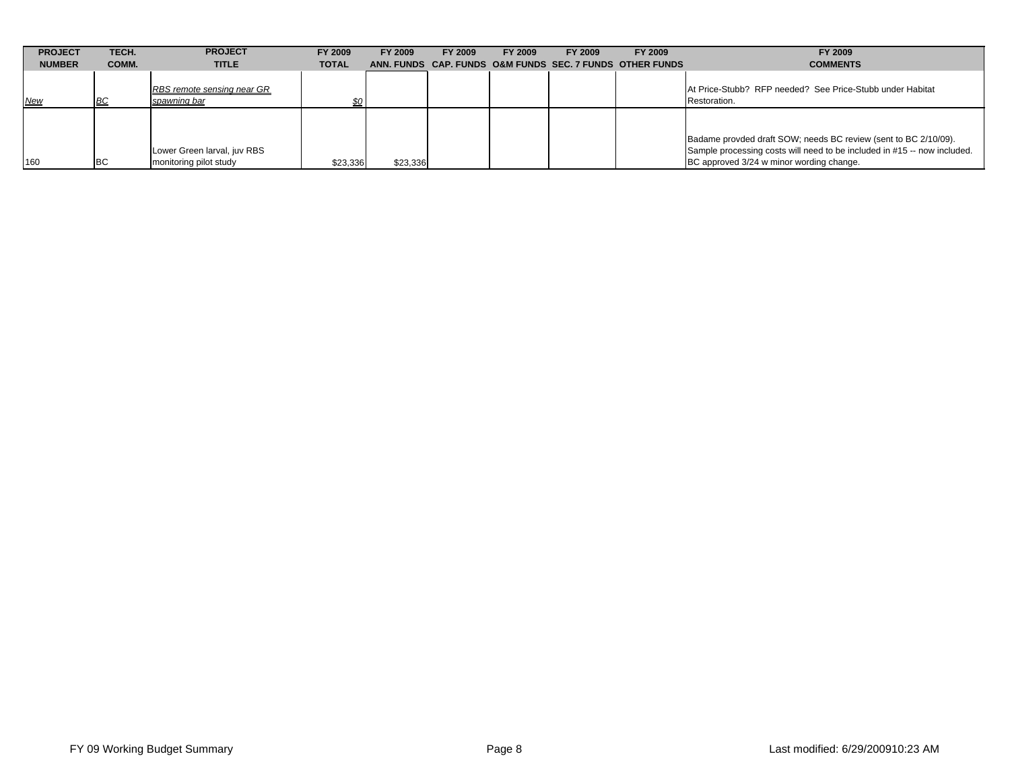| <b>PROJECT</b> | TECH.     | <b>PROJECT</b>                                        | FY 2009      | FY 2009  | FY 2009 | FY 2009 | FY 2009 | FY 2009                                                  | FY 2009                                                                                                                                                                                 |
|----------------|-----------|-------------------------------------------------------|--------------|----------|---------|---------|---------|----------------------------------------------------------|-----------------------------------------------------------------------------------------------------------------------------------------------------------------------------------------|
| <b>NUMBER</b>  | COMM.     | <b>TITLE</b>                                          | <b>TOTAL</b> |          |         |         |         | ANN. FUNDS CAP. FUNDS O&M FUNDS SEC. 7 FUNDS OTHER FUNDS | <b>COMMENTS</b>                                                                                                                                                                         |
| New            | BC        | RBS remote sensing near GR<br>spawning bar            | \$0          |          |         |         |         |                                                          | At Price-Stubb? RFP needed? See Price-Stubb under Habitat<br>Restoration.                                                                                                               |
| 160            | <b>BC</b> | Lower Green larval, juv RBS<br>monitoring pilot study | \$23,336     | \$23,336 |         |         |         |                                                          | Badame provded draft SOW; needs BC review (sent to BC 2/10/09).<br>Sample processing costs will need to be included in #15 -- now included.<br>BC approved 3/24 w minor wording change. |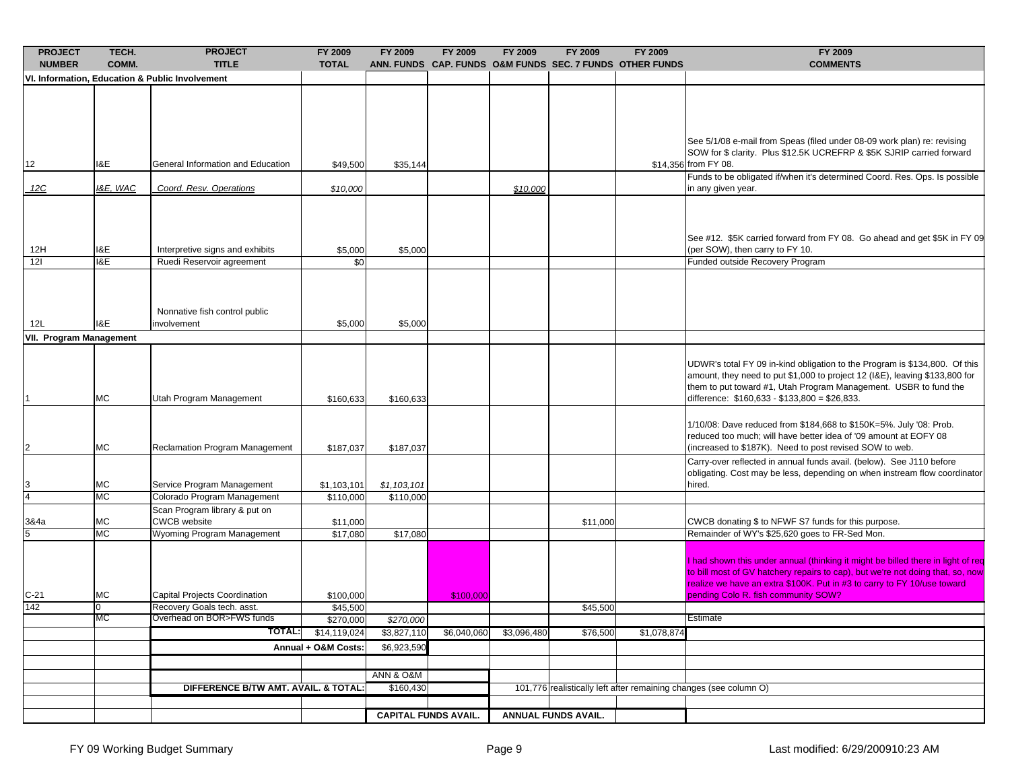| <b>PROJECT</b>                 | TECH.     | <b>PROJECT</b>                                              | FY 2009               | FY 2009                     | FY 2009     | FY 2009                    | FY 2009  | FY 2009                                                  | FY 2009                                                                                                                                                                                                                                                                                                                                |
|--------------------------------|-----------|-------------------------------------------------------------|-----------------------|-----------------------------|-------------|----------------------------|----------|----------------------------------------------------------|----------------------------------------------------------------------------------------------------------------------------------------------------------------------------------------------------------------------------------------------------------------------------------------------------------------------------------------|
| <b>NUMBER</b>                  | COMM.     | <b>TITLE</b>                                                | <b>TOTAL</b>          |                             |             |                            |          | ANN. FUNDS CAP. FUNDS O&M FUNDS SEC. 7 FUNDS OTHER FUNDS | <b>COMMENTS</b>                                                                                                                                                                                                                                                                                                                        |
|                                |           | VI. Information, Education & Public Involvement             |                       |                             |             |                            |          |                                                          |                                                                                                                                                                                                                                                                                                                                        |
|                                |           |                                                             |                       |                             |             |                            |          |                                                          | See 5/1/08 e-mail from Speas (filed under 08-09 work plan) re: revising<br>SOW for \$ clarity. Plus \$12.5K UCREFRP & \$5K SJRIP carried forward                                                                                                                                                                                       |
| 12                             | I&E       | General Information and Education                           | \$49,500              | \$35,144                    |             |                            |          |                                                          | \$14,356 from FY 08.                                                                                                                                                                                                                                                                                                                   |
| <u> 12C</u>                    | I&E, WAC  | Coord. Resv. Operations                                     | \$10,000              |                             |             | \$10,000                   |          |                                                          | Funds to be obligated if/when it's determined Coord. Res. Ops. Is possible<br>in any given year.                                                                                                                                                                                                                                       |
| 12H                            | I&E       | Interpretive signs and exhibits                             | \$5,000               | \$5,000                     |             |                            |          |                                                          | See #12. \$5K carried forward from FY 08. Go ahead and get \$5K in FY 09<br>(per SOW), then carry to FY 10.                                                                                                                                                                                                                            |
| 121                            | I&E       | Ruedi Reservoir agreement                                   | \$0                   |                             |             |                            |          |                                                          | Funded outside Recovery Program                                                                                                                                                                                                                                                                                                        |
| 12L                            | I&E       | Nonnative fish control public<br>involvement                | \$5,000               | \$5,000                     |             |                            |          |                                                          |                                                                                                                                                                                                                                                                                                                                        |
| <b>VII. Program Management</b> |           |                                                             |                       |                             |             |                            |          |                                                          |                                                                                                                                                                                                                                                                                                                                        |
|                                | MC        | Utah Program Management                                     | \$160,633             | \$160,633                   |             |                            |          |                                                          | UDWR's total FY 09 in-kind obligation to the Program is \$134,800. Of this<br>amount, they need to put \$1,000 to project 12 (I&E), leaving \$133,800 for<br>them to put toward #1, Utah Program Management. USBR to fund the<br>difference: \$160,633 - \$133,800 = \$26,833.                                                         |
| $\overline{\mathbf{c}}$        | <b>MC</b> | <b>Reclamation Program Management</b>                       | \$187,037             | \$187,037                   |             |                            |          |                                                          | 1/10/08: Dave reduced from \$184,668 to \$150K=5%. July '08: Prob.<br>reduced too much; will have better idea of '09 amount at EOFY 08<br>(increased to \$187K). Need to post revised SOW to web.                                                                                                                                      |
| $\frac{3}{4}$                  | МC        | Service Program Management                                  | \$1,103,101           | \$1,103,101                 |             |                            |          |                                                          | Carry-over reflected in annual funds avail. (below). See J110 before<br>obligating. Cost may be less, depending on when instream flow coordinator<br>hired.                                                                                                                                                                            |
|                                | МC        | Colorado Program Management                                 | \$110,000             | \$110,000                   |             |                            |          |                                                          |                                                                                                                                                                                                                                                                                                                                        |
| $\frac{384a}{5}$               | МC        | Scan Program library & put on<br><b>CWCB</b> website        | \$11,000              |                             |             |                            | \$11,000 |                                                          | CWCB donating \$ to NFWF S7 funds for this purpose.                                                                                                                                                                                                                                                                                    |
|                                | МC<br>МC  | Wyoming Program Management<br>Capital Projects Coordination | \$17,080<br>\$100,000 | \$17,080                    | \$100,000   |                            |          |                                                          | Remainder of WY's \$25,620 goes to FR-Sed Mon.<br>I had shown this under annual (thinking it might be billed there in light of reg<br>to bill most of GV hatchery repairs to cap), but we're not doing that, so, now<br>realize we have an extra \$100K. Put in #3 to carry to FY 10/use toward<br>pending Colo R. fish community SOW? |
| $\frac{C-21}{142}$             |           | Recovery Goals tech. asst.                                  | \$45,500              |                             |             |                            | \$45,500 |                                                          |                                                                                                                                                                                                                                                                                                                                        |
|                                | МC        | Overhead on BOR>FWS funds                                   | \$270,000             | \$270,000                   |             |                            |          |                                                          | Estimate                                                                                                                                                                                                                                                                                                                               |
|                                |           | TOTAL:                                                      | \$14,119,024          | \$3,827,110                 | \$6,040,060 | \$3,096,480                | \$76,500 | \$1,078,874                                              |                                                                                                                                                                                                                                                                                                                                        |
|                                |           |                                                             | Annual + O&M Costs:   | \$6,923,590                 |             |                            |          |                                                          |                                                                                                                                                                                                                                                                                                                                        |
|                                |           |                                                             |                       | ANN & O&M                   |             |                            |          |                                                          |                                                                                                                                                                                                                                                                                                                                        |
|                                |           | DIFFERENCE B/TW AMT. AVAIL. & TOTAL:                        |                       | \$160,430                   |             |                            |          |                                                          | 101,776 realistically left after remaining changes (see column O)                                                                                                                                                                                                                                                                      |
|                                |           |                                                             |                       | <b>CAPITAL FUNDS AVAIL.</b> |             | <b>ANNUAL FUNDS AVAIL.</b> |          |                                                          |                                                                                                                                                                                                                                                                                                                                        |